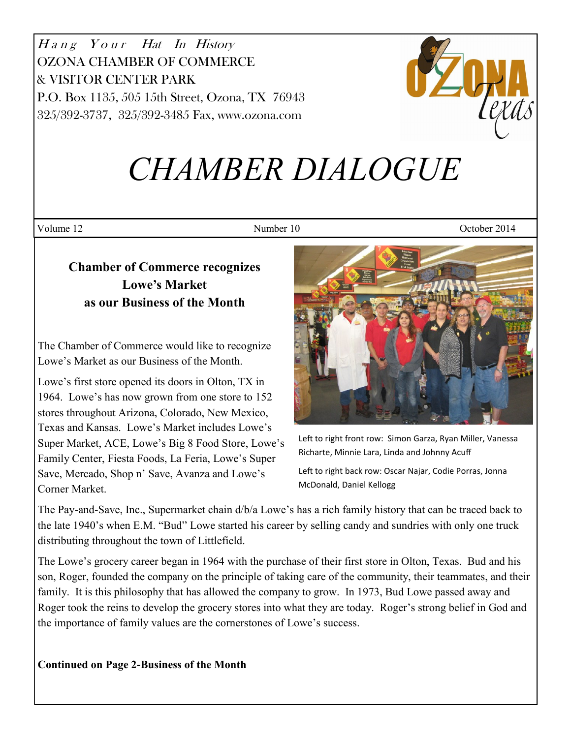Hang Your Hat In History OZONA CHAMBER OF COMMERCE & VISITOR CENTER PARK P.O. Box 1135, 505 15th Street, Ozona, TX 76943 325/392-3737, 325/392-3485 Fax, www.ozona.com



# *CHAMBER DIALOGUE*

Volume 12 Number 10 October 2014

# **Chamber of Commerce recognizes Lowe's Market as our Business of the Month**

The Chamber of Commerce would like to recognize Lowe's Market as our Business of the Month.

Lowe's first store opened its doors in Olton, TX in 1964. Lowe's has now grown from one store to 152 stores throughout Arizona, Colorado, New Mexico, Texas and Kansas. Lowe's Market includes Lowe's Super Market, ACE, Lowe's Big 8 Food Store, Lowe's Family Center, Fiesta Foods, La Feria, Lowe's Super Save, Mercado, Shop n' Save, Avanza and Lowe's Corner Market.



Left to right front row: Simon Garza, Ryan Miller, Vanessa Richarte, Minnie Lara, Linda and Johnny Acuff

Left to right back row: Oscar Najar, Codie Porras, Jonna McDonald, Daniel Kellogg

The Pay-and-Save, Inc., Supermarket chain d/b/a Lowe's has a rich family history that can be traced back to the late 1940's when E.M. "Bud" Lowe started his career by selling candy and sundries with only one truck distributing throughout the town of Littlefield.

The Lowe's grocery career began in 1964 with the purchase of their first store in Olton, Texas. Bud and his son, Roger, founded the company on the principle of taking care of the community, their teammates, and their family. It is this philosophy that has allowed the company to grow. In 1973, Bud Lowe passed away and Roger took the reins to develop the grocery stores into what they are today. Roger's strong belief in God and the importance of family values are the cornerstones of Lowe's success.

**Continued on Page 2-Business of the Month**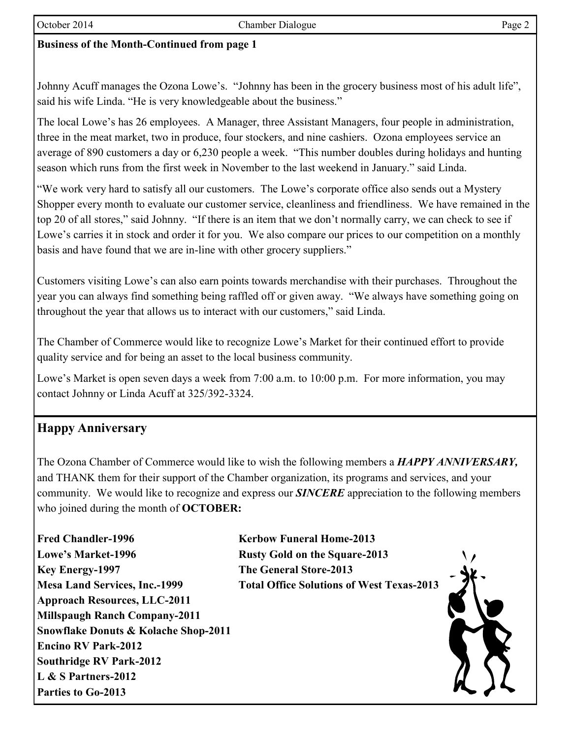# **Business of the Month-Continued from page 1**

Johnny Acuff manages the Ozona Lowe's. "Johnny has been in the grocery business most of his adult life", said his wife Linda. "He is very knowledgeable about the business."

The local Lowe's has 26 employees. A Manager, three Assistant Managers, four people in administration, three in the meat market, two in produce, four stockers, and nine cashiers. Ozona employees service an average of 890 customers a day or 6,230 people a week. "This number doubles during holidays and hunting season which runs from the first week in November to the last weekend in January." said Linda.

"We work very hard to satisfy all our customers. The Lowe's corporate office also sends out a Mystery Shopper every month to evaluate our customer service, cleanliness and friendliness. We have remained in the top 20 of all stores," said Johnny. "If there is an item that we don't normally carry, we can check to see if Lowe's carries it in stock and order it for you. We also compare our prices to our competition on a monthly basis and have found that we are in-line with other grocery suppliers."

Customers visiting Lowe's can also earn points towards merchandise with their purchases. Throughout the year you can always find something being raffled off or given away. "We always have something going on throughout the year that allows us to interact with our customers," said Linda.

The Chamber of Commerce would like to recognize Lowe's Market for their continued effort to provide quality service and for being an asset to the local business community.

Lowe's Market is open seven days a week from 7:00 a.m. to 10:00 p.m. For more information, you may contact Johnny or Linda Acuff at 325/392-3324.

# **Happy Anniversary**

The Ozona Chamber of Commerce would like to wish the following members a *HAPPY ANNIVERSARY,* and THANK them for their support of the Chamber organization, its programs and services, and your community. We would like to recognize and express our *SINCERE* appreciation to the following members who joined during the month of **OCTOBER:**

**Fred Chandler-1996 Kerbow Funeral Home-2013 Lowe's Market-1996 Rusty Gold on the Square-2013 Key Energy-1997 The General Store-2013 Approach Resources, LLC-2011 Millspaugh Ranch Company-2011 Snowflake Donuts & Kolache Shop-2011 Encino RV Park-2012 Southridge RV Park-2012 L & S Partners-2012 Parties to Go-2013**

**Mesa Land Services, Inc.-1999 Total Office Solutions of West Texas-2013**

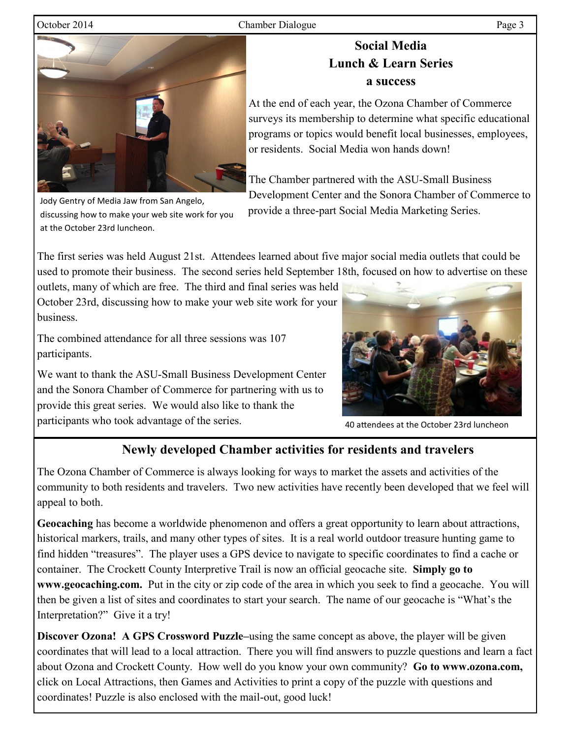### October 2014 Chamber Dialogue Page 3

# **Social Media Lunch & Learn Series a success**

At the end of each year, the Ozona Chamber of Commerce surveys its membership to determine what specific educational programs or topics would benefit local businesses, employees, or residents. Social Media won hands down!

The Chamber partnered with the ASU-Small Business Development Center and the Sonora Chamber of Commerce to provide a three-part Social Media Marketing Series.

The first series was held August 21st. Attendees learned about five major social media outlets that could be used to promote their business. The second series held September 18th, focused on how to advertise on these

outlets, many of which are free. The third and final series was held October 23rd, discussing how to make your web site work for your business.

The combined attendance for all three sessions was 107 participants.

We want to thank the ASU-Small Business Development Center and the Sonora Chamber of Commerce for partnering with us to provide this great series. We would also like to thank the participants who took advantage of the series.

40 attendees at the October 23rd luncheon

# **Newly developed Chamber activities for residents and travelers**

The Ozona Chamber of Commerce is always looking for ways to market the assets and activities of the community to both residents and travelers. Two new activities have recently been developed that we feel will appeal to both.

**Geocaching** has become a worldwide phenomenon and offers a great opportunity to learn about attractions, historical markers, trails, and many other types of sites. It is a real world outdoor treasure hunting game to find hidden "treasures". The player uses a GPS device to navigate to specific coordinates to find a cache or container. The Crockett County Interpretive Trail is now an official geocache site. **Simply go to www.geocaching.com.** Put in the city or zip code of the area in which you seek to find a geocache. You will then be given a list of sites and coordinates to start your search. The name of our geocache is "What's the Interpretation?" Give it a try!

**Discover Ozona! A GPS Crossword Puzzle–**using the same concept as above, the player will be given coordinates that will lead to a local attraction. There you will find answers to puzzle questions and learn a fact about Ozona and Crockett County. How well do you know your own community? **Go to www.ozona.com,**  click on Local Attractions, then Games and Activities to print a copy of the puzzle with questions and coordinates! Puzzle is also enclosed with the mail-out, good luck!





Jody Gentry of Media Jaw from San Angelo,

at the October 23rd luncheon.

discussing how to make your web site work for you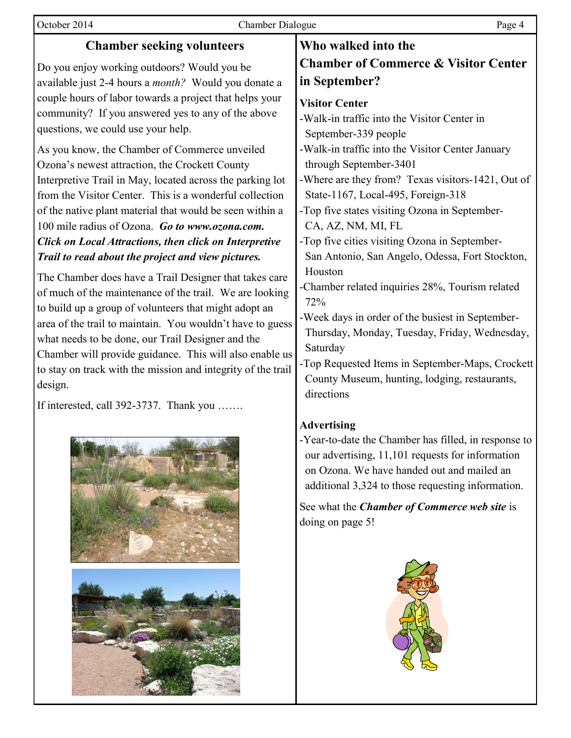| October 2014                                                                                                                                                                                                                                                                                                                                                                                                                                                                                                                                                                                                                                                                                                       | <b>Chamber Dialogue</b> | Page 4                                                                                                                                                                                                                                                                                                                                                                                                                                                                           |
|--------------------------------------------------------------------------------------------------------------------------------------------------------------------------------------------------------------------------------------------------------------------------------------------------------------------------------------------------------------------------------------------------------------------------------------------------------------------------------------------------------------------------------------------------------------------------------------------------------------------------------------------------------------------------------------------------------------------|-------------------------|----------------------------------------------------------------------------------------------------------------------------------------------------------------------------------------------------------------------------------------------------------------------------------------------------------------------------------------------------------------------------------------------------------------------------------------------------------------------------------|
| <b>Chamber seeking volunteers</b>                                                                                                                                                                                                                                                                                                                                                                                                                                                                                                                                                                                                                                                                                  |                         | Who walked into the                                                                                                                                                                                                                                                                                                                                                                                                                                                              |
| Do you enjoy working outdoors? Would you be<br>available just 2-4 hours a <i>month</i> ? Would you donate a<br>couple hours of labor towards a project that helps your<br>community? If you answered yes to any of the above<br>questions, we could use your help.<br>As you know, the Chamber of Commerce unveiled<br>Ozona's newest attraction, the Crockett County<br>Interpretive Trail in May, located across the parking lot<br>from the Visitor Center. This is a wonderful collection                                                                                                                                                                                                                      |                         | <b>Chamber of Commerce &amp; Visitor Center</b><br>in September?<br><b>Visitor Center</b><br>-Walk-in traffic into the Visitor Center in<br>September-339 people<br>-Walk-in traffic into the Visitor Center January<br>through September-3401<br>-Where are they from? Texas visitors-1421, Out of<br>State-1167, Local-495, Foreign-318                                                                                                                                        |
| of the native plant material that would be seen within a<br>100 mile radius of Ozona. Go to www.ozona.com.<br><b>Click on Local Attractions, then click on Interpretive</b><br>Trail to read about the project and view pictures.<br>The Chamber does have a Trail Designer that takes care<br>of much of the maintenance of the trail. We are looking<br>to build up a group of volunteers that might adopt an<br>area of the trail to maintain. You wouldn't have to guess<br>what needs to be done, our Trail Designer and the<br>Chamber will provide guidance. This will also enable us<br>to stay on track with the mission and integrity of the trail<br>design.<br>If interested, call 392-3737. Thank you |                         | -Top five states visiting Ozona in September-<br>CA, AZ, NM, MI, FL<br>-Top five cities visiting Ozona in September-<br>San Antonio, San Angelo, Odessa, Fort Stockton,<br>Houston<br>-Chamber related inquiries 28%, Tourism related<br>72%<br>-Week days in order of the busiest in September-<br>Thursday, Monday, Tuesday, Friday, Wednesday,<br>Saturday<br>-Top Requested Items in September-Maps, Crockett<br>County Museum, hunting, lodging, restaurants,<br>directions |
|                                                                                                                                                                                                                                                                                                                                                                                                                                                                                                                                                                                                                                                                                                                    |                         | <b>Advertising</b><br>-Year-to-date the Chamber has filled, in response to<br>our advertising, 11,101 requests for information<br>on Ozona. We have handed out and mailed an<br>additional 3,324 to those requesting information.                                                                                                                                                                                                                                                |

See what the *Chamber of Commerce web site* is doing on page 5!

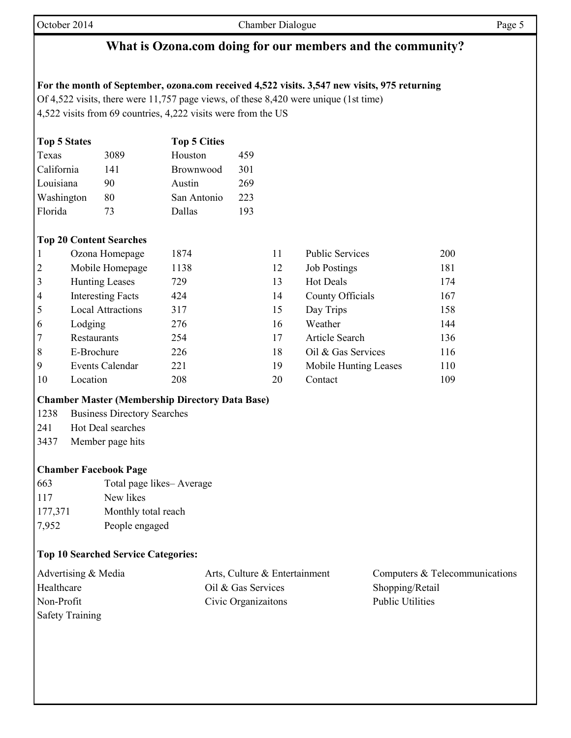# **What is Ozona.com doing for our members and the community?**

### **For the month of September, ozona.com received 4,522 visits. 3,547 new visits, 975 returning**

Of 4,522 visits, there were 11,757 page views, of these 8,420 were unique (1st time) 4,522 visits from 69 countries, 4,222 visits were from the US

| <b>Top 5 States</b> |      | <b>Top 5 Cities</b> |     |
|---------------------|------|---------------------|-----|
| Texas               | 3089 | Houston             | 459 |
| California          | 141  | <b>Brownwood</b>    | 301 |
| Louisiana           | 90   | Austin              | 269 |
| Washington          | 80   | San Antonio         | 223 |
| Florida             | 73   | Dallas              | 193 |

### **Top 20 Content Searches**

|                | Ozona Homepage           | 1874 | 11 | <b>Public Services</b> | 200 |
|----------------|--------------------------|------|----|------------------------|-----|
| $\overline{2}$ | Mobile Homepage          | 1138 | 12 | <b>Job Postings</b>    | 181 |
| 3              | <b>Hunting Leases</b>    | 729  | 13 | <b>Hot Deals</b>       | 174 |
| $\overline{4}$ | <b>Interesting Facts</b> | 424  | 14 | County Officials       | 167 |
| 5              | <b>Local Attractions</b> | 317  | 15 | Day Trips              | 158 |
| 6              | Lodging                  | 276  | 16 | Weather                | 144 |
| 7              | Restaurants              | 254  | 17 | <b>Article Search</b>  | 136 |
| 8              | E-Brochure               | 226  | 18 | Oil & Gas Services     | 116 |
| 9              | <b>Events Calendar</b>   | 221  | 19 | Mobile Hunting Leases  | 110 |
| 10             | Location                 | 208  | 20 | Contact                | 109 |

| <b>Chamber Master (Membership Directory Data Base)</b> |  |  |
|--------------------------------------------------------|--|--|

- 1238 Business Directory Searches
- 241 Hot Deal searches
- 3437 Member page hits

## **Chamber Facebook Page**

663 Total page likes– Average 117 New likes 177,371 Monthly total reach 7,952 People engaged

## **Top 10 Searched Service Categories:**

| Advertising & Media    | Arts, Culture & Entertainment | Computers & Telecommunications |
|------------------------|-------------------------------|--------------------------------|
| Healthcare             | Oil & Gas Services            | Shopping/Retail                |
| Non-Profit             | Civic Organizations           | Public Utilities               |
| <b>Safety Training</b> |                               |                                |

| <b>Public Services</b> | 200 |
|------------------------|-----|
| <b>Job Postings</b>    | 181 |
| <b>Hot Deals</b>       | 174 |
| County Officials       | 167 |
| Day Trips              | 158 |
| Weather                | 144 |
| <b>Article Search</b>  | 136 |
| Oil & Gas Services     | 116 |
| Mobile Hunting Leases  | 110 |
| Contact                | 109 |